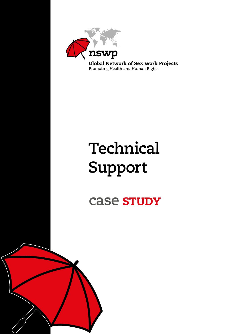

# **Technical Support**

case study

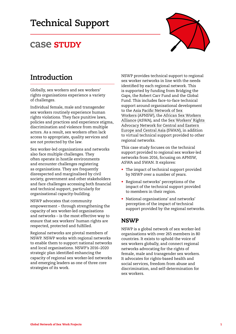# **Technical Support**

## **Case STUDY**



## **Introduction**

Globally, sex workers and sex workers' rights organisations experience a variety of challenges.

Individual female, male and transgender sex workers routinely experience human rights violations. They face punitive laws, policies and practices and experience stigma, discrimination and violence from multiple actors. As a result, sex workers often lack access to appropriate, quality services and are not protected by the law.

Sex worker-led organisations and networks also face multiple challenges. They often operate in hostile environments and encounter challenges registering as organisations. They are frequently disrespected and marginalised by civil society, government and other stakeholders and face challenges accessing both financial and technical support, particularly for organisational capacity-building.

NSWP advocates that community empowerment – through strengthening the capacity of sex worker-led organisations and networks – is the most effective way to ensure that sex workers' human rights are respected, protected and fulfilled.

Regional networks are pivotal members of NSWP. NSWP works with regional networks to enable them to support national networks and local organisations. NSWP's 2016–2020 strategic plan identified enhancing the capacity of regional sex worker-led networks and emerging leaders as one of three core strategies of its work.

NSWP provides technical support to regional sex worker networks in line with the needs identified by each regional network. This is supported by funding from Bridging the Gaps, the Robert Carr Fund and the Global Fund. This includes face-to-face technical support around organisational development to the [Asia Pacific Network of Sex](https://apnsw.info/)  [Workers](https://apnsw.info/) (APNSW), the [African Sex Workers](http://aswaalliance.org/)  [Alliance](http://aswaalliance.org/) (ASWA), and the [Sex Workers' Rights](http://www.swannet.org/)  [Advocacy Network for Central and Eastern](http://www.swannet.org/)  [Europe and Central Asia](http://www.swannet.org/) (SWAN), in addition to virtual technical support provided to other regional networks.

This case study focuses on the technical support provided to regional sex worker-led networks from 2016, focusing on APNSW, ASWA and SWAN. It explores:

- The impact of technical support provided by NSWP over a number of years.
- Regional networks' perceptions of the impact of the technical support provided to members in their region.
- National organisations' and networks' perception of the impact of technical support provided by the regional networks.

#### **NSWP**

NSWP is a global network of sex worker-led organisations with over 265 members in 80 countries. It exists to uphold the voice of sex workers globally, and connect regional networks advocating for the rights of female, male and transgender sex workers. It advocates for rights-based health and social services, freedom from abuse and discrimination, and self-determination for sex workers.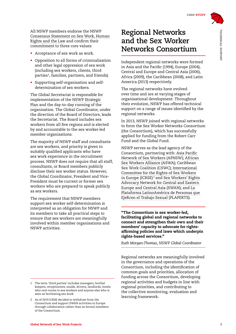All NSWP members endorse the NSWP [Consensus Statement on Sex Work, Human](https://www.nswp.org/resource/nswp-consensus-statement-sex-work-human-rights-and-the-law)  [Rights and the Law](https://www.nswp.org/resource/nswp-consensus-statement-sex-work-human-rights-and-the-law) and confirm their commitment to three core values:

- Acceptance of sex work as work.
- Opposition to all forms of criminalisation and other legal oppression of sex work (including sex workers, clients, third parties<sup>1</sup>, families, partners, and friends).
- Supporting self-organisation and selfdetermination of sex workers.

The Global Secretariat is responsible for implementation of the [NSWP Strategic](https://www.nswp.org/resource/nswp-strategic-plan-2016-2020)  [Plan](https://www.nswp.org/resource/nswp-strategic-plan-2016-2020) and the day-to-day running of the organisation. The Global Coordinator, under the direction of the Board of Directors, leads the Secretariat. The Board includes sex workers from all five regions and is elected by and accountable to the sex worker-led member organisations.

The majority of NSWP staff and consultants are sex workers, and priority is given to suitably qualified applicants who have sex work experience in the recruitment process. NSWP does not require that all staff, consultants, or Board members publicly disclose their sex worker status. However, the Global Coordinator, President and Vice-President must be current or former sex workers who are prepared to speak publicly as sex workers.

The requirement that NSWP members support sex worker self-determination is interpreted as an obligation for NSWP and its members to take all practical steps to ensure that sex workers are meaningfully involved within member organisations and NSWP activities.

1 The term 'third parties' includes managers, brothel keepers, receptionists, maids, drivers, landlords, hotels who rent rooms to sex workers and anyone else who is seen as facilitating sex work.

## **Regional Networks and the Sex Worker Networks Consortium**

Independent regional networks were formed in Asia and the Pacific (1994), Europe (2004), Central and Europe and Central Asia (2006), Africa (2009), the Caribbean (2008), and Latin America (2013) respectively.

The regional networks have evolved over time and are at varying stages of organisational development. Throughout their evolution, NSWP has offered technical support on a range of issues identified by the regional networks.

In 2013, NSWP joined with regional networks to form the Sex Worker Networks Consortium (the Consortium), which has successfully applied for funding from the Robert Carr Fund and the Global Fund.

NSWP serves as the lead agency of the Consortium, partnering with: [Asia Pacific](https://apnsw.info/)  [Network of Sex Workers](https://apnsw.info/) (APNSW); [African](http://aswaalliance.org/)  [Sex Workers Alliance](http://aswaalliance.org/) (ASWA); Caribbean Sex Work Coalition (CSWC); [International](http://sexworkeurope.org/)  [Committee for the Rights of Sex Workers](http://sexworkeurope.org/)  [in Europe](http://sexworkeurope.org/) (ICRSE)<sup>2</sup> and Sex Workers' Rights [Advocacy Network for Central and Eastern](http://www.swannet.org/)  [Europe and Central Asia](http://www.swannet.org/) (SWAN); and [La](http://plaperts.nswp.org/)  [Plataforma LatinoAmérica de Personas que](http://plaperts.nswp.org/)  [EjeRcen el Trabajo Sexual](http://plaperts.nswp.org/) (PLAPERTS).

"The Consortium is sex worker-led, facilitating global and regional networks to connect and strengthen their own and their members' capacity to advocate for rightsaffirming policies and laws which underpin rights-based services."

*Ruth Morgan-Thomas, NSWP Global Coordinator*

Regional networks are meaningfully involved in the governance and operations of the Consortium, including the identification of common goals and priorities, allocation of funding across the Consortium, developing regional activities and budgets in line with regional priorities, and contributing to the collective monitoring, evaluation and learning framework.

<sup>2</sup> As of 2019 ICRSE decided to withdraw from the Consortium and support SWAN activities in Europe through collaboration rather than as formal members of the Consortium.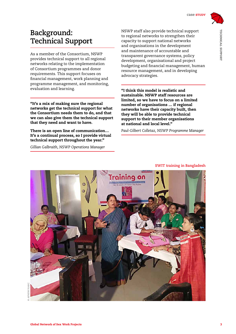

TECHNICAL SUPPORT

TECHNICAL SUPPORT

## **Background: Technical Support**

As a member of the Consortium, NSWP provides technical support to all regional networks relating to the implementation of Consortium programmes and donor requirements. This support focuses on financial management, work planning and programme management, and monitoring, evaluation and learning.

"It's a mix of making sure the regional networks get the technical support for what the Consortium needs them to do, and that we can also give them the technical support that they need and want to have.

There is an open line of communication… It's a continual process, so I provide virtual technical support throughout the year."

*Gillian Galbraith, NSWP Operations Manager*

NSWP staff also provide technical support to regional networks to strengthen their capacity to support national networks and organisations in the development and maintenance of accountable and transparent governance systems, policy development, organisational and project budgeting and financial management, human resource management, and in developing advocacy strategies.

"I think this model is realistic and sustainable. NSWP staff resources are limited, so we have to focus on a limited number of organisations … if regional networks have their capacity built, then they will be able to provide technical support to their member organisations at national and local level."

*Paul-Gilbert Colletaz, NSWP Programme Manager*



**SWIT training in Bangladesh**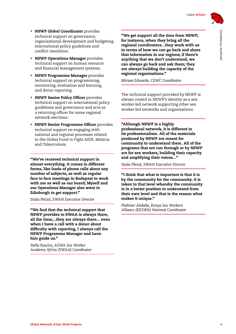- NSWP Global Coordinator provides technical support on governance, organisational development and budgeting, international policy guidelines and conflict resolution.
- **NSWP Operations Manager provides** technical support on human resource and financial management systems.
- NSWP Programme Manager provides technical support on programming, monitoring, evaluation and learning, and donor reporting.
- NSWP Senior Policy Officer provides technical support on international policy guidelines and governance and acts as a returning officer for some regional network elections.
- NSWP Senior Programme Officer provides technical support on engaging with national and regional processes related to the Global Fund to Fight AIDS, Malaria and Tuberculosis.

"We've received technical support in almost everything. It comes in different forms, like loads of phone calls about any number of subjects, as well as regular face to face meetings in Budapest to work with me as well as our board; Myself and our Operations Manager also went to Edinburgh to get support."

*Staša Plec´aš, SWAN Executive Director*

"We find that the technical support that NSWP provides to SWAA is always there, all the time;...they are always there... even when I have a call with a donor about difficulty with reporting, I always call the NSWP Programme Manager and have him guide us."

*Stella Kawira, ASWA Sex Worker Academy Africa (SWAA) Coordinator*

"We get support all the time from NSWP; for instance, when they bring all the regional coordinators…they work with us in terms of how we can go back and share that information in our regions; if there's anything that we don't understand, we can always go back and ask them; they are always building the capacity of the regional organisations."

*Miriam Edwards, CSWC Coordinator*

The technical support provided by NSWP is always rooted in NSWP's identity as a sex worker-led network supporting other sex worker-led networks and organisations.

"Although NSWP is a highly professional network, it is different in its professionalism. All of the materials produced by NSWP are meant for community to understand them. All of the programs that are run through or by NSWP are for sex workers, building their capacity and amplifying their voices…"

*Staša Plec´aš, SWAN Executive Director*

"I think that what is important is that it is by the community for the community. It is taken to that level whereby the community is in a better position to understand from their own level and that is the reason what makes it unique."

*Phelister Abdalla, Kenya Sex Workers Alliance (KESWA) National Coordinator*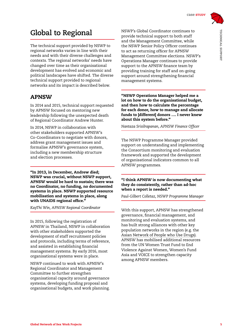# **Global to Regional**

The technical support provided by NSWP to regional networks varies in line with their needs and with their diverse challenges and contexts. The regional networks' needs have changed over time as their organisational development has evolved and economic and political landscapes have shifted. The diverse technical support provided to regional networks and its impact is described below.

## APNSW

In 2014 and 2015, technical support requested by APNSW focused on mentoring new leadership following the unexpected death of Regional Coordinator Andrew Hunter.

In 2014, NSWP in collaboration with other stakeholders supported APNSW's Co-Coordinators to negotiate with donors, address grant management issues and formalise APNSW's governance system, including a new membership structure and election processes.

"In 2013, in December, Andrew died; NSWP was crucial, without NSWP support, APNSW would be hard to sustain; there was no Coordinator, no funding, no documented systems in place. NSWP supported resource mobilisation and systems in place, along with UNAIDS regional office."

*KayThi Win, APNSW Regional Coordinator* 

In 2015, following the registration of APNSW in Thailand, NSWP in collaboration with other stakeholders supported the development of staff recruitment policies and protocols, including terms of reference, and assisted in establishing financial management systems. By early 2016, most organisational systems were in place.

NSWP continued to work with APNSW's Regional Coordinator and Management Committee to further strengthen organisational capacity around governance systems, developing funding proposal and organisational budgets, and work planning.

NSWP's Global Coordinator continues to provide technical support to both staff and the Management Committee, while the NSWP Senior Policy Officer continues to act as returning officer for APNSW Management Committee elections. NSWP's Operations Manager continues to provide support to the APNSW finance team by providing training for staff and on-going support around strengthening financial management systems.

"NSWP Operations Manager helped me a lot on how to do the organisational budget, and then how to calculate the percentage for each donor, how to manage and allocate funds to [different] donors …. I never knew about this system before."

*Nantaza Srisilrapanan, APNSW Finance Officer*

The NSWP Programme Manager provided support on understanding and implementing the Consortium monitoring and evaluation framework and supported the development of organisational indicators common to all APNSW programmes.

#### "I think APNSW is now documenting what they do consistently, rather than ad-hoc when a report is needed."

*Paul-Gilbert Colletaz, NSWP Programme Manager* 

With this support, APNSW has strengthened governance, financial management, and monitoring and evaluation systems, and has built strong alliances with other key population networks in the region (e.g. the [Asian Network of People who Use Drugs\)](http://www.anpud.org/). APNSW has mobilised additional resources from the UN Women Trust Fund to End Violence Against Women, Women's Fund Asia and VOICE to strengthen capacity among APNSW members.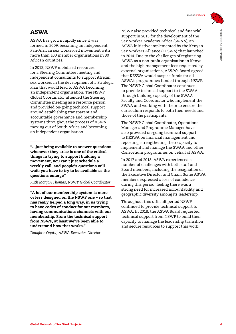

#### ASWA

ASWA has grown rapidly since it was formed in 2009, becoming an independent Pan-African sex worker-led movement with more than 100 member organisations in 30 African countries.

In 2012, NSWP mobilised resources for a Steering Committee meeting and independent consultants to support African sex workers in the development of a Strategic Plan that would lead to ASWA becoming an independent organisation. The NSWP Global Coordinator attended the Steering Committee meeting as a resource person and provided on-going technical support around establishing transparent and accountable governance and membership systems throughout the process of ASWA moving out of South Africa and becoming an independent organisation.

"…just being available to answer questions whenever they arise is one of the critical things in trying to support building a movement, you can't just schedule a weekly call, and people's questions will wait; you have to try to be available as the questions emerge".

*Ruth Morgan Thomas, NSWP Global Coordinator*

"A lot of our membership system is more or less designed on the NSWP one – so that has really helped a long way, in us trying to have codes of conduct for our members, having communications channels with our membership. From the technical support from NSWP, at least we've been able to understand how that works."

*Daughtie Ogutu, ASWA Executive Director*

NSWP also provided technical and financial support in 2013 for the development of the Sex Worker Academy Africa (SWAA), an ASWA initiative implemented by the Kenyan Sex Workers Alliance (KESWA) that launched in 2014. Due to the challenges of registering ASWA as a non-profit organisation in Kenya and the high management fees requested by external organisations, ASWA's Board agreed that KESWA would auspice funds for all ASWA's programmes funded through NSWP. The NSWP Global Coordinator continues to provide technical support to the SWAA through building capacity of the SWAA Faculty and Coordinator who implement the SWAA and working with them to ensure the curriculum responds to both their needs and those of the participants.

The NSWP Global Coordinator, Operations Manager and Programme Manager have also provided on-going technical support to KESWA on financial management and reporting, strengthening their capacity to implement and manage the SWAA and other Consortium programmes on behalf of ASWA.

In 2017 and 2018, ASWA experienced a number of challenges with both staff and Board members, including the resignation of the Executive Director and Chair. Some ASWA members expressed a loss of confidence during this period, feeling there was a strong need for increased accountability and geographic diversity among its leadership.

Throughout this difficult period NSWP continued to provide technical support to ASWA. In 2018, the ASWA Board requested technical support from NSWP to build their capacity to manage the leadership transition and secure resources to support this work.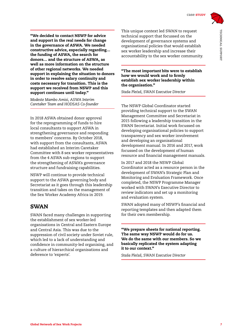"We decided to contact NSWP for advice and support in the real needs for change in the governance of ASWA. We needed constructive advice, especially regarding… the funding of ASWA, the search for donors… and the structure of ASWA, as well as more information on the structure of other regional networks. We needed support in explaining the situation to donors in order to resolve salary continuity and costs necessary for transition. This is the support we received from NSWP and this support continues until today."

*Modeste Mambo Amisi, ASWA Interim Caretaker Team and HODSAS Co-founder*

In 2018 ASWA obtained donor approval for the reprogramming of funds to hire local consultants to support ASWA in strengthening governance and responding to members' concerns. By October 2018, with support from the consultants, ASWA had established an Interim Caretaker Committee with 8 sex worker representatives from the 4 ASWA sub-regions to support the strengthening of ASWA's governance structure and fundraising capabilities.

NSWP will continue to provide technical support to the ASWA governing body and Secretariat as it goes through this leadership transition and takes on the management of the Sex Worker Academy Africa in 2019.

#### SWAN

SWAN faced many challenges in supporting the establishment of sex worker-led organisations in Central and Eastern Europe and Central Asia. This was due to the suppression of civil society under Soviet rule, which led to a lack of understanding and confidence in community-led organising, and a culture of hierarchical organisations and deference to 'experts'.

This unique context led SWAN to request technical support that focussed on the development of governance systems and organisational policies that would establish sex worker leadership and increase their accountability to the sex worker community.

"The most important bits were to establish how we would work and to firmly establish sex worker leadership within the organisation."

*Staša Plec´aš, SWAN Executive Director*

The NSWP Global Coordinator started providing technical support to the SWAN Management Committee and Secretariat in 2015 following a leadership transition in the SWAN Secretariat. Initial work focussed on developing organisational policies to support transparency and sex worker involvement and developing an organisational development manual. In 2016 and 2017, work focussed on the development of human resource and financial management manuals.

In 2017 and 2018 the NSWP Global Coordinator acted as a resource person in the development of SWAN's Strategic Plan and Monitoring and Evaluation Framework. Once completed, the NSWP Programme Manager worked with SWAN's Executive Director to review indicators and set up a monitoring and evaluation system.

SWAN adopted many of NSWP's financial and reporting templates and then adapted them for their own membership.

"We prepare sheets for national reporting. The same way NSWP would do for us. We do the same with our members. So we basically replicated the system adapting it to our context."

*Staša Plec´aš, SWAN Executive Director*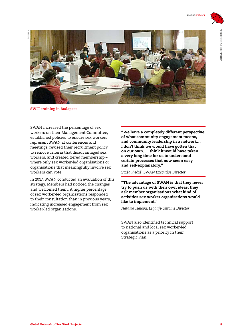

**SWIT training in Budapest**

SWAN increased the percentage of sex workers on their Management Committee, established policies to ensure sex workers represent SWAN at conferences and meetings, revised their recruitment policy to remove criteria that disadvantaged sex workers, and created tiered membership – where only sex worker-led organisations or organisations that meaningfully involve sex workers can vote.

In 2017, SWAN conducted an evaluation of this strategy. Members had noticed the changes and welcomed them. A higher percentage of sex worker-led organisations responded to their consultation than in previous years, indicating increased engagement from sex worker-led organisations.

"We have a completely different perspective of what community engagement means, and community leadership in a network… I don't think we would have gotten that on our own... I think it would have taken a very long time for us to understand certain processes that now seem easy and self-explanatory."

*Staša Plec´aš, SWAN Executive Director*

"The advantage of SWAN is that they never try to push us with their own ideas; they ask member organisations what kind of activities sex worker organisations would like to implement."

*Nataliia Isaieva, Legalife-Ukraine Director*

SWAN also identified technical support to national and local sex worker-led organisations as a priority in their Strategic Plan.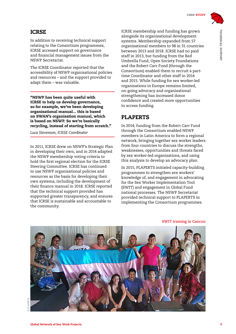#### ICRSE

In addition to receiving technical support relating to the Consortium programmes, ICRSE accessed support on governance and financial management issues from the NSWP Secretariat.

The ICRSE Coordinator reported that the accessibility of NSWP organisational policies and resources – and the support provided to adapt them – was valuable.

"NSWP has been quite useful with ICRSE to help us develop governance, so for example, we've been developing organisational manual... this is based on SWAN's organisation manual, which is based on NSWP. So we're basically recycling, instead of starting from scratch."

*Luca Stevenson, ICRSE Coordinator*

In 2011, ICRSE drew on NSWP's Strategic Plan in developing their own, and in 2014 adapted the NSWP membership voting criteria to hold the first regional election for the ICRSE Steering Committee. ICRSE has continued to use NSWP organisational policies and resources as the basis for developing their own systems, including the development of their finance manual in 2018. ICRSE reported that the technical support provided has supported greater transparency, and ensures that ICRSE is sustainable and accountable to the community.

ICRSE membership and funding has grown alongside its organisational development systems. Membership expanded from 57 organisational members to 98 in 31 countries between 2013 and 2018. ICRSE had no paid staff in 2013, but funding from the Red Umbrella Fund, Open Society Foundations and the Robert Carr Fund (through the Consortium) enabled them to recruit a parttime Coordinator and other staff in 2014 and 2015. While funding for sex worker-led organisations in Europe remains limited, on-going advocacy and organisational strengthening has increased donor confidence and created more opportunities to access funding.

#### PLAPERTS

In 2014, funding from the Robert Carr Fund through the Consortium enabled NSWP members in Latin America to form a regional network, bringing together sex worker leaders from four countries to discuss the strengths, weaknesses, opportunities and threats faced by sex worker-led organisations, and using this analysis to develop an advocacy plan.

In 2015, PLAPERTS initiated capacity-building programmes to strengthen sex workers' knowledge of, and engagement in advocating for the Sex Worker Implementation Tool (SWIT) and engagement in Global Fund national processes. The NSWP Secretariat provided technical support to PLAPERTS in implementing the Consortium programmes.



**SWIT training in Cancun**

**© PLAPERTS**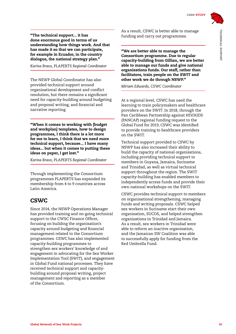"The technical support... it has done enormous good in terms of us understanding how things work. And that has made it so that we can participate, for example in Ecuador, in the country dialogue, the national strategy plan."

*Karina Bravo, PLAPERTS Regional Coordinator*

The NSWP Global Coordinator has also provided technical support around organisational development and conflict resolution, but there remains a significant need for capacity-building around budgeting and proposal writing, and financial and narrative reporting.

"When it comes to working with [budget and workplan] templates, how to design programmes, I think there is a lot more for me to learn, I think that we need more technical support, because... I have many ideas... but when it comes to putting these ideas on paper, I get lost."

*Karina Bravo, PLAPERTS Regional Coordinator*

Through implementing the Consortium programmes PLAPERTS has expanded its membership from 4 to 9 countries across Latin America.

### **CSWC**

Since 2014, the NSWP Operations Manager has provided training and on-going technical support to the CWSC Finance Officer, focusing on building the organisation's capacity around budgeting and financial management related to the Consortium programmes. CSWC has also implemented capacity-building programmes to strengthen sex workers' knowledge of and engagement in advocating for the Sex Worker Implementation Tool (SWIT), and engagement in Global Fund national processes. They have received technical support and capacitybuilding around proposal writing, project management and reporting as a member of the Consortium.

As a result, CSWC is better able to manage funding and carry out programmes.

"We are better able to manage the Consortium programme. Due to regular capacity-building from Gillian, we are better able to manage our funds and give national organisations funds. Our staff, rather than facilitators, train people on the SWIT and other work we do through NSWP."

*Miriam Edwards, CSWC Coordinator*

At a regional level, CSWC has used the learning to train policymakers and healthcare providers on the SWIT. In 2018, through the Pan Caribbean Partnership against HIV/AIDS (PANCAP) regional funding request to the Global Fund for 2019, CSWC was identified to provide training to healthcare providers on the SWIT.

Technical support provided to CSWC by NSWP has also increased their ability to build the capacity of national organisations, including providing technical support to members in Guyana, Jamaica, Suriname and Trinidad, as well as virtual technical support throughout the region. The SWIT capacity-building has enabled members to independently access funds and provide their own national workshops on the SWIT.

CSWC provides technical support to members on organisational strengthening, managing funds and writing proposals. CSWC helped sex workers in Suriname start their own organisation, SUCOS, and helped strengthen organisations in Trinidad and Jamaica. As a result, sex workers in Trinidad were able to reform an inactive organisation, and the Jamaican SW Coalition was able to successfully apply for funding from the Red Umbrella Fund.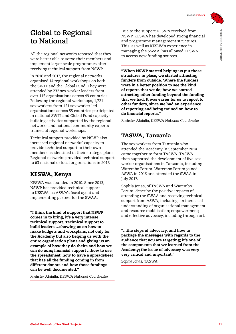# **Global to Regional to National**

All the regional networks reported that they were better able to serve their members and implement larger scale programmes after receiving technical support from NSWP.

In 2016 and 2017, the regional networks organised 14 regional workshops on both the SWIT and the Global Fund. They were attended by 232 sex worker leaders from over 115 organisations across 49 countries. Following the regional workshops, 1,721 sex workers from 121 sex worker-led organisations across 55 countries participated in national SWIT and Global Fund capacitybuilding activities supported by the regional networks and national community experts trained at regional workshops.

Technical support provided by NSWP also increased regional networks' capacity to provide technical support to their own members as identified in their strategic plans. Regional networks provided technical support to 63 national or local organisations in 2017.

## KESWA, Kenya

KESWA was founded in 2010. Since 2013, NSWP has provided technical support to KESWA, as ASWA's fiscal agent and implementing partner for the SWAA.

"I think the kind of support that NSWP comes in to bring, it's a very intense technical support. Technical support to build leaders …showing us on how to make budgets and workplans, not only for the Academy but also helping us with the entire organisation plans and giving us an example of how they do theirs and how we can do ours; financial support …how to use the spreadsheet: how to have a spreadsheet that has all the funding coming in from different donors and how those fundings can be well documented."

*Phelister Abdalla, KESWA National Coordinator* 

Due to the support KESWA received from NSWP, KESWA has developed strong financial and programme management structures. This, as well as KESWA's experience in managing the SWAA, has allowed KESWA to access new funding sources.

"When NSWP started helping us put those structures in place, we started attracting funders from outside. Where the funders were in a better position to see the kind of reports that we do; how we started attracting other funding beyond the funding that we had. It was easier for us to report to other funders, since we had an experience of reporting and being trained on how to do financial reports."

*Phelister Abdalla, KESWA National Coordinator* 

## TASWA, Tanzania

The sex workers from Tanzania who attended the Academy in September 2014 came together to form TASWA. TASWA then supported the development of five sex worker organisations in Tanzania, including Warembo Forum. Warembo Forum joined ASWA in 2016 and attended the SWAA in July 2017.

Sophia Jonas, of TASWA and Warembo Forum, describe the positive impacts of attending the SWAA and receiving technical support from ASWA, including: an increased understanding of organisational management and resource mobilisation; empowerment; and effective advocacy, including through art.

"…the steps of advocacy, and how to package the messages with regards to the audience that you are targeting; it's one of the components that we learned from the Academy; the issue of advocacy was very very critical and important."

*Sophia Jonas, TASWA*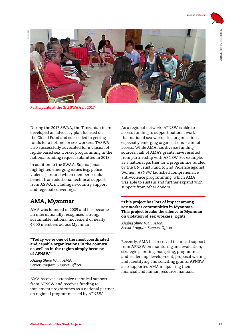

**Participants at the 3rd SWAA in 2017**

During the 2017 SWAA, the Tanzanian team developed an advocacy plan focused on the Global Fund and succeeded in getting funds for a hotline for sex workers. TASWA also successfully advocated for inclusion of rights-based sex worker programming in the national funding request submitted in 2018.

In addition to the SWAA, Sophia Jonas highlighted emerging issues (e.g. police violence) around which members could benefit from additional technical support from ASWA, including in-country support and regional convenings.

### AMA, Myanmar

AMA was founded in 2009 and has become an [internationally recognised,](https://hivgaps.org/stories-of-change/track-record-case-myanmar/) strong, sustainable national movement of nearly 4,000 members across Myanmar.

"Today we're one of the most coordinated and capable organizations in the country as well as in the region simply because of APNSW."

*Khaing Shwe Wah, AMA Senior Program Support Officer*

AMA receives extensive technical support from APNSW and receives funding to implement programmes as a national partner on regional programmes led by APNSW.

As a regional network, APNSW is able to access funding to support national work that national sex worker-led organisations – especially emerging organisations – cannot access. While AMA has diverse funding sources, half of AMA's grants have resulted from partnership with APNSW. For example, as a national partner for a programme funded by the UN Trust Fund to End Violence against Women, APNSW launched comprehensive anti-violence programming, which AMA was able to sustain and further expand with support from other donors.

#### "This project has lots of impact among sex worker communities in Myanmar… This project breaks the silence in Myanmar on violation of sex workers' rights."

*Khaing Shwe Wah, AMA Senior Program Support Officer*

Recently, AMA has received technical support from APNSW on monitoring and evaluation, strategic planning, budgeting, programme and leadership development, proposal writing and identifying and soliciting grants. APNSW also supported AMA in updating their financial and human resource manuals.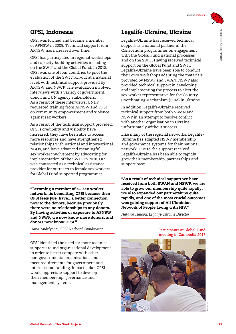OPSI was formed and became a member of APNSW in 2009. Technical support from APNSW has increased over time.

OPSI has participated in regional workshops and capacity-building activities including on the SWIT and the Global Fund. In 2018, OPSI was one of four countries to pilot the evaluation of the SWIT roll-out at a national level, with technical support provided by APNSW and NSWP. The evaluation involved interviews with a variety of government, donor, and UN agency stakeholders. As a result of these interviews, UNDP requested training from APNSW and OPSI on community empowerment and violence against sex workers.

As a result of the technical support provided, OPSI's credibility and visibility have increased; they have been able to access more resources and have strengthened relationships with national and international NGOs, and have advanced meaningful sex worker involvement by advocating for implementation of the SWIT. In 2018, OPSI was contracted as a technical assistance provider for outreach to female sex workers for Global Fund supported programmes.

"Becoming a member of a…sex worker network…is benefitting OPSI because then OPSI feels [we] have…a better connection now to the donors, because previously there were no relationships to any donors. By having activities or exposure to APNSW and NSWP, we now know more donors, and donors now know OPSI."

*Liana Andriyana, OPSI National Coordinator*

OPSI identified the need for more technical support around organisational development in order to better compete with other non-governmental organisations and meet requirements for government and international funding. In particular, OPSI would appreciate support to develop their membership, governance and management systems.

## Legalife-Ukraine, Ukraine

Legalife-Ukraine has received technical support as a national partner in the Consortium programmes on engagement with the Global Fund national processes and on the SWIT. Having received technical support on the Global Fund and SWIT, Legalife-Ukraine have been able to conduct their own workshops adapting the materials provided by NSWP and SWAN. NSWP also provided technical support in developing and implementing the process to elect the sex worker representative for the Country Coordinating Mechanism (CCM) in Ukraine.

In addition, Legalife-Ukraine received technical support from both SWAN and NSWP in an attempt to resolve conflict with another organisation in Ukraine, unfortunately without success.

Like many of the regional networks, Legalife-Ukraine has adapted NSWP membership and governance systems for their national network. Due to the support received, Legalife-Ukraine has been able to rapidly grow their membership, partnerships and support base.

"As a result of technical support we have received from both SWAN and NSWP, we are able to grow our membership quite rapidly; we also expanded our partnerships quite rapidly, and one of the most crucial outcomes was gaining support of All Ukrainian Network of People Living with HIV."

*Nataliia Isaieva, Legalife-Ukraine Director*

#### **Participants at Global Fund meeting in Cambodia 2017**

**© NSWP**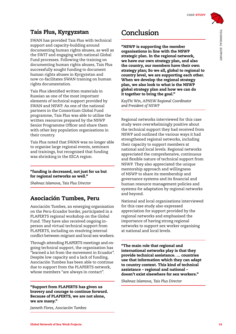## Tais Plus, Kyrgyzstan

SWAN has provided Tais Plus with technical support and capacity-building around documenting human rights abuses, as well as the SWIT and engaging with national Global Fund processes. Following the training on documenting human rights abuses, Tais Plus successfully sought funding to document human rights abuses in Kyrgyzstan and now co-facilitates SWAN training on human rights documentation.

Tais Plus identified written materials in Russian as one of the most important elements of technical support provided by SWAN and NSWP. As one of the national partners in the Consortium Global Fund programme, Tais Plus was able to utilise the written resources prepared by the NSWP Senior Programme Officer and share them with other key population organisations in their country.

Tais Plus noted that SWAN was no longer able to organise large regional events, seminars and trainings, but recognised that funding was shrinking in the EECA region.

#### "funding is decreased, not just for us but for regional networks as well."

*Shahnaz Islamova, Tais Plus Director*

### Asociación Tumbes, Peru

Asociación Tumbes, an emerging organisation on the Peru-Ecuador border, participated in a PLAPERTS regional workshop on the Global Fund. They have also received ongoing inperson and virtual technical support from PLAPERTS, including on resolving internal conflict between migrant and local sex workers.

Through attending PLAPERTS meetings and ongoing technical support, the organisation has "learned a lot from the movement in Ecuador". Despite low capacity and a lack of funding, Asociación Tumbes has been able to continue due to support from the PLAPERTS network, whose members "are always in contact".

"Support from PLAPERTS has given us bravery and courage to continue forward. Because of PLAPERTS, we are not alone, we are many."

*Janneth Flores, Asociación Tumbes*

# **Conclusion**

"NSWP is supporting the member organisations in line with the NSWP strategic plan. In the regional network, we have our own strategy plan, and also the country, our members have their own strategy plan; So we all, global to regional to country level, we are supporting each other. When we develop the regional strategy plan, we also look to what is the NSWP global strategy plan and how we can do it together to bring the goal."

*KayThi Win, APNSW Regional Coordinator and President of NSWP*

Regional networks interviewed for this case study were overwhelmingly positive about the technical support they had received from NSWP and outlined the various ways it had strengthened regional networks, including their capacity to support members at national and local levels. Regional networks appreciated the comprehensive, continuous and flexible nature of technical support from NSWP. They also appreciated the unique mentorship approach and willingness of NSWP to share its membership and governance systems and its financial and human resource management policies and systems for adaptation by regional networks and beyond.

National and local organisations interviewed for this case study also expressed appreciation for support provided by the regional networks and emphasised the importance of having strong regional networks to support sex worker organising at national and local levels.

"The main role that regional and international networks play is that they provide technical assistance. … countries use that information which they can adapt to country context. This kind of technical assistance – regional and national – doesn't exist elsewhere for sex workers."

*Shahnaz Islamova, Tais Plus Director*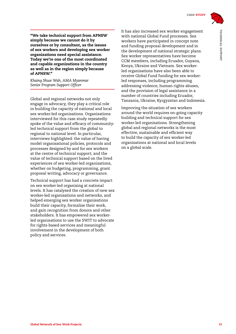

TECHNICAL SUPPORT

TECHNICAL SUPPORT

"We take technical support from APNSW simply because we cannot do it by ourselves or by consultant, as the issues of sex workers and developing sex worker organizations need special assistance. Today we're one of the most coordinated and capable organizations in the country as well as in the region simply because of APNSW."

*Khaing Shwe Wah, AMA Myanmar Senior Program Support Officer*

Global and regional networks not only engage in advocacy, they play a critical role in building the capacity of national and local sex worker-led organisations. Organisations interviewed for this case study repeatedly spoke of the value and efficacy of communityled technical support from the global to regional to national level. In particular, interviews highlighted: the value of having model organisational policies, protocols and processes designed by and for sex workers at the centre of technical support; and the value of technical support based on the lived experiences of sex worker-led organisations, whether on budgeting, programming, grant proposal writing, advocacy or governance.

Technical support has had a concrete impact on sex worker-led organising at national levels. It has catalysed the creation of new sex worker-led organisations and networks, and helped emerging sex worker organisations build their capacity, formalise their work, and gain recognition from donors and other stakeholders. It has empowered sex workerled organisations to use the SWIT to advocate for rights-based services and meaningful involvement in the development of both policy and services.

It has also increased sex worker engagement with national Global Fund processes. Sex workers have participated in concept note and funding proposal development and in the development of national strategic plans. Sex worker representatives have become CCM members, including Ecuador, Guyana, Kenya, Ukraine and Vietnam. Sex workerled organisations have also been able to receive Global Fund funding for sex workerled responses, including programming addressing violence, human rights abuses, and the provision of legal assistance in a number of countries including Ecuador, Tanzania, Ukraine, Kyrgyzstan and Indonesia.

Improving the situation of sex workers around the world requires on-going capacity building and technical support for sex worker-led organisations. Strengthening global and regional networks is the most effective, sustainable and efficient way to build the capacity of sex worker-led organisations at national and local levels on a global scale.